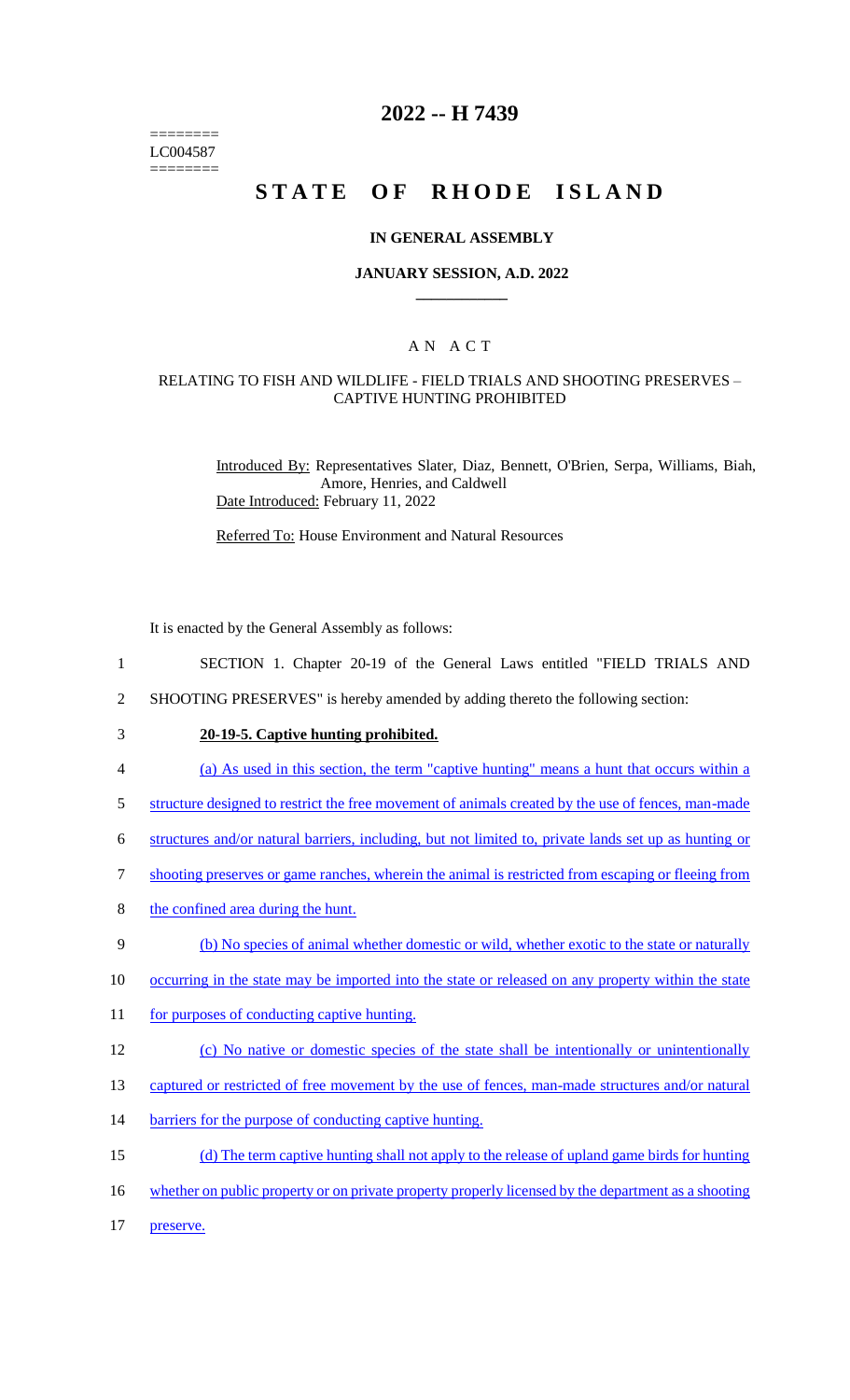======== LC004587 ========

# **2022 -- H 7439**

# **STATE OF RHODE ISLAND**

### **IN GENERAL ASSEMBLY**

### **JANUARY SESSION, A.D. 2022 \_\_\_\_\_\_\_\_\_\_\_\_**

### A N A C T

### RELATING TO FISH AND WILDLIFE - FIELD TRIALS AND SHOOTING PRESERVES – CAPTIVE HUNTING PROHIBITED

Introduced By: Representatives Slater, Diaz, Bennett, O'Brien, Serpa, Williams, Biah, Amore, Henries, and Caldwell Date Introduced: February 11, 2022

Referred To: House Environment and Natural Resources

It is enacted by the General Assembly as follows:

- 1 SECTION 1. Chapter 20-19 of the General Laws entitled "FIELD TRIALS AND
- 2 SHOOTING PRESERVES" is hereby amended by adding thereto the following section:
- 

# 3 **20-19-5. Captive hunting prohibited.**

- 4 (a) As used in this section, the term "captive hunting" means a hunt that occurs within a
- 5 structure designed to restrict the free movement of animals created by the use of fences, man-made
- 6 structures and/or natural barriers, including, but not limited to, private lands set up as hunting or
- 7 shooting preserves or game ranches, wherein the animal is restricted from escaping or fleeing from
- 8 the confined area during the hunt.
- 9 (b) No species of animal whether domestic or wild, whether exotic to the state or naturally
- 10 occurring in the state may be imported into the state or released on any property within the state
- 11 for purposes of conducting captive hunting.
- 12 (c) No native or domestic species of the state shall be intentionally or unintentionally
- 13 captured or restricted of free movement by the use of fences, man-made structures and/or natural
- 14 barriers for the purpose of conducting captive hunting.
- 15 (d) The term captive hunting shall not apply to the release of upland game birds for hunting
- 16 whether on public property or on private property properly licensed by the department as a shooting
- 17 preserve.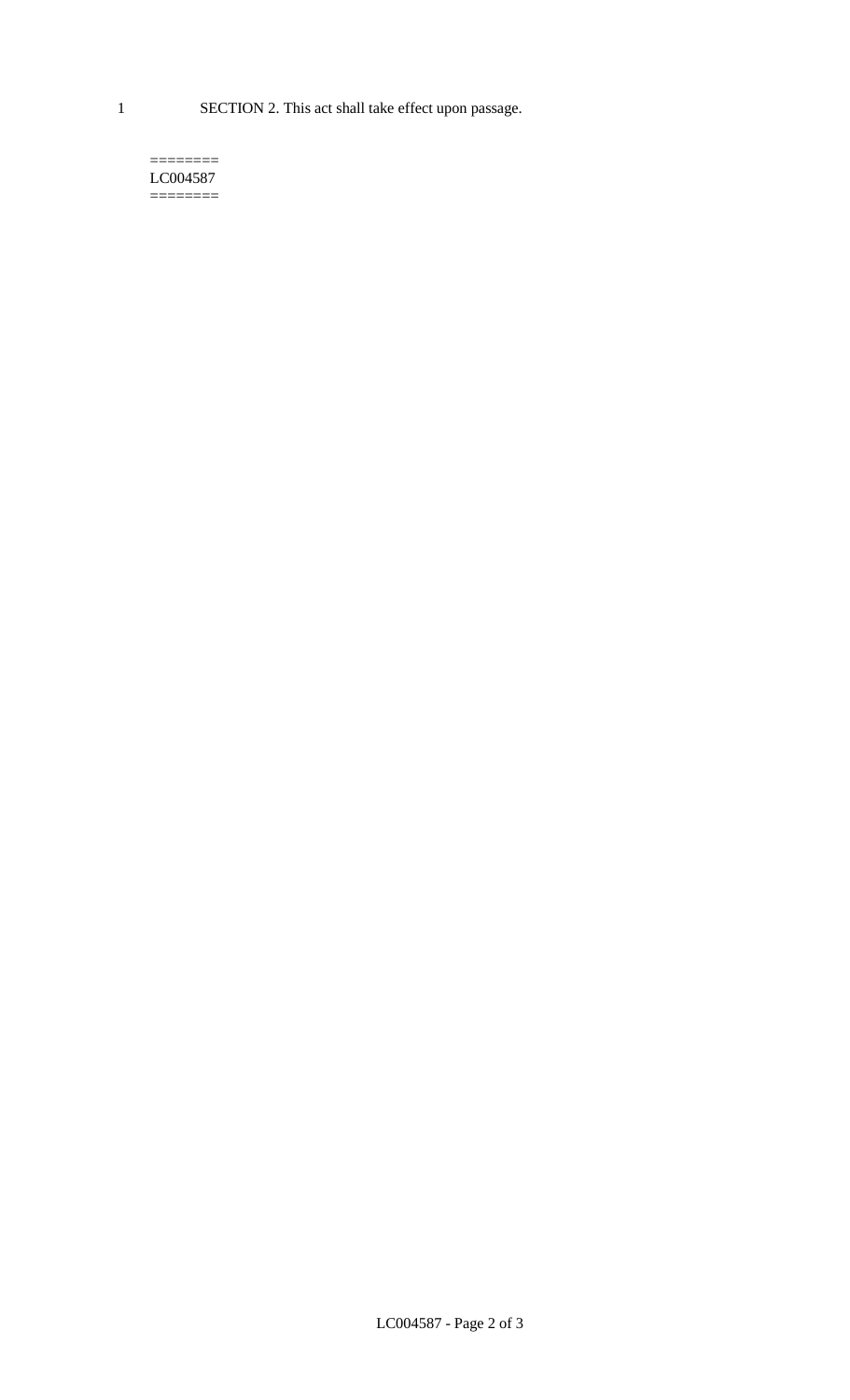1 SECTION 2. This act shall take effect upon passage.

#### $=$ LC004587  $=$